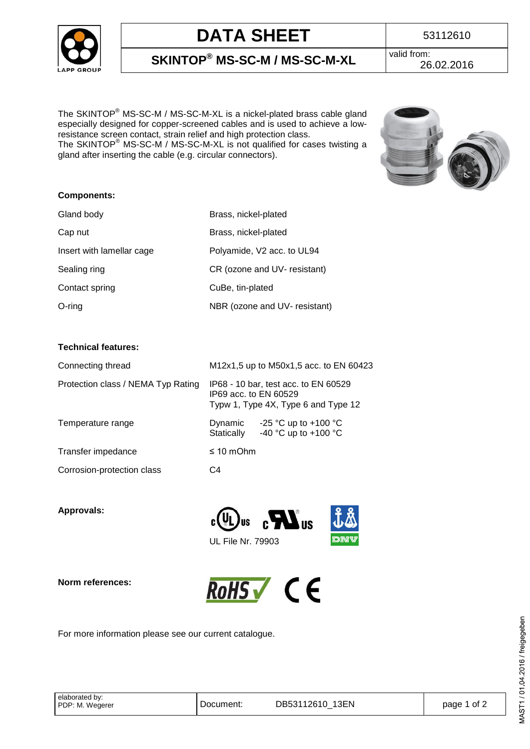

## **DATA SHEET** 53112610

**SKINTOP® MS-SC-M / MS-SC-M-XL** valid from: 26.02.2016

The SKINTOP® MS-SC-M / MS-SC-M-XL is a nickel-plated brass cable gland especially designed for copper-screened cables and is used to achieve a lowresistance screen contact, strain relief and high protection class. The SKINTOP<sup>®</sup> MS-SC-M / MS-SC-M-XL is not qualified for cases twisting a gland after inserting the cable (e.g. circular connectors).



### **Components:**

| Gland body                | Brass, nickel-plated          |
|---------------------------|-------------------------------|
| Cap nut                   | Brass, nickel-plated          |
| Insert with lamellar cage | Polyamide, V2 acc. to UL94    |
| Sealing ring              | CR (ozone and UV- resistant)  |
| Contact spring            | CuBe, tin-plated              |
| $O$ -ring                 | NBR (ozone and UV- resistant) |

#### **Technical features:**

| Connecting thread                  | M12x1,5 up to M50x1,5 acc. to EN 60423                                                               |  |  |  |
|------------------------------------|------------------------------------------------------------------------------------------------------|--|--|--|
| Protection class / NEMA Typ Rating | IP68 - 10 bar, test acc. to EN 60529<br>IP69 acc. to EN 60529<br>Typw 1, Type 4X, Type 6 and Type 12 |  |  |  |
| Temperature range                  | Dynamic $-25 \degree C$ up to +100 $\degree C$<br>-40 °C up to +100 °C<br>Statically                 |  |  |  |
| Transfer impedance                 | $\leq 10$ mOhm                                                                                       |  |  |  |
| Corrosion-protection class         | C4                                                                                                   |  |  |  |

**Approvals:** 



### **Norm references:**



For more information please see our current catalogue.

| elaborated by:  |  |
|-----------------|--|
| PDP: M. Wegerer |  |